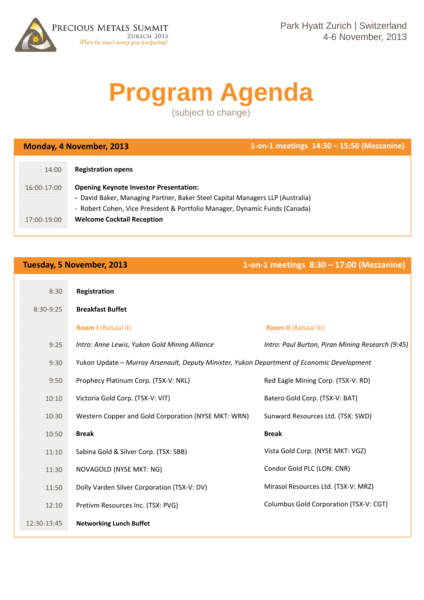

# **Program Agenda**

(subject to change)

**Monday, 4 November, 2013 1‐on‐1 meetings 14:30 – 15:50 (Mezzanine)**

| 14:00       | <b>Registration opens</b>                                                     |
|-------------|-------------------------------------------------------------------------------|
| 16:00-17:00 | <b>Opening Keynote Investor Presentation:</b>                                 |
|             | - David Baker, Managing Partner, Baker Steel Capital Managers LLP (Australia) |
|             | - Robert Cohen, Vice President & Portfolio Manager, Dynamic Funds (Canada)    |
| 17:00-19:00 | <b>Welcome Cocktail Reception</b>                                             |

**Tuesday, 5 November, 2013 1‐on‐1 meetings 8:30 – 17:00 (Mezzanine)**

| 8:30        | Registration                                                                               |                                                  |
|-------------|--------------------------------------------------------------------------------------------|--------------------------------------------------|
| 8:30-9:25   | <b>Breakfast Buffet</b>                                                                    |                                                  |
|             | <b>Room I (Balsaal II)</b>                                                                 | <b>Room II (Balsaal III)</b>                     |
| 9:25        | Intro: Anne Lewis, Yukon Gold Mining Alliance                                              | Intro: Paul Burton, Piran Mining Research (9:45) |
| 9:30        | Yukon Update - Murray Arsenault, Deputy Minister, Yukon Department of Economic Development |                                                  |
| 9:50        | Prophecy Platinum Corp. (TSX-V: NKL)                                                       | Red Eagle Mining Corp. (TSX-V: RD)               |
| 10:10       | Victoria Gold Corp. (TSX-V: VIT)                                                           | Batero Gold Corp. (TSX-V: BAT)                   |
| 10:30       | Western Copper and Gold Corporation (NYSE MKT: WRN)                                        | Sunward Resources Ltd. (TSX: SWD)                |
| 10:50       | <b>Break</b>                                                                               | <b>Break</b>                                     |
| 11:10       | Sabina Gold & Silver Corp. (TSX: SBB)                                                      | Vista Gold Corp. (NYSE MKT: VGZ)                 |
| 11:30       | NOVAGOLD (NYSE MKT: NG)                                                                    | Condor Gold PLC (LON: CNR)                       |
| 11:50       | Dolly Varden Silver Corporation (TSX-V: DV)                                                | Mirasol Resources Ltd. (TSX-V: MRZ)              |
| 12:10       | Pretivm Resources Inc. (TSX: PVG)                                                          | Columbus Gold Corporation (TSX-V: CGT)           |
| 12:30-13:45 | <b>Networking Lunch Buffet</b>                                                             |                                                  |